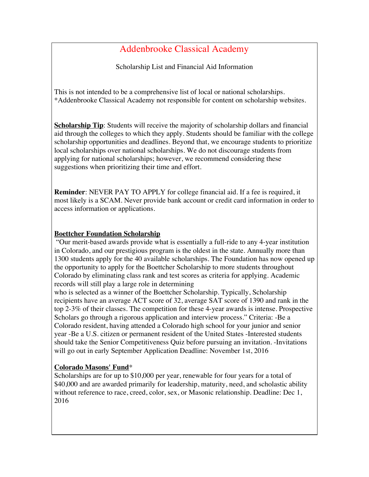# Addenbrooke Classical Academy

Scholarship List and Financial Aid Information

This is not intended to be a comprehensive list of local or national scholarships. \*Addenbrooke Classical Academy not responsible for content on scholarship websites.

**Scholarship Tip:** Students will receive the majority of scholarship dollars and financial aid through the colleges to which they apply. Students should be familiar with the college scholarship opportunities and deadlines. Beyond that, we encourage students to prioritize local scholarships over national scholarships. We do not discourage students from applying for national scholarships; however, we recommend considering these suggestions when prioritizing their time and effort.

**Reminder**: NEVER PAY TO APPLY for college financial aid. If a fee is required, it most likely is a SCAM. Never provide bank account or credit card information in order to access information or applications.

#### **Boettcher Foundation Scholarship**

 "Our merit-based awards provide what is essentially a full-ride to any 4-year institution in Colorado, and our prestigious program is the oldest in the state. Annually more than 1300 students apply for the 40 available scholarships. The Foundation has now opened up the opportunity to apply for the Boettcher Scholarship to more students throughout Colorado by eliminating class rank and test scores as criteria for applying. Academic records will still play a large role in determining

who is selected as a winner of the Boettcher Scholarship. Typically, Scholarship recipients have an average ACT score of 32, average SAT score of 1390 and rank in the top 2-3% of their classes. The competition for these 4-year awards is intense. Prospective Scholars go through a rigorous application and interview process." Criteria: -Be a Colorado resident, having attended a Colorado high school for your junior and senior year -Be a U.S. citizen or permanent resident of the United States -Interested students should take the Senior Competitiveness Quiz before pursuing an invitation. -Invitations will go out in early September Application Deadline: November 1st, 2016

## **Colorado Masons' Fund**\*

Scholarships are for up to \$10,000 per year, renewable for four years for a total of \$40,000 and are awarded primarily for leadership, maturity, need, and scholastic ability without reference to race, creed, color, sex, or Masonic relationship. Deadline: Dec 1, 2016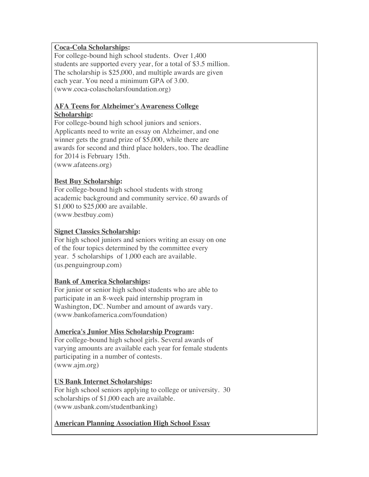## **Coca-Cola Scholarships:**

For college-bound high school students. Over 1,400 students are supported every year, for a total of \$3.5 million. The scholarship is \$25,000, and multiple awards are given each year. You need a minimum GPA of 3.00. (www.coca-colascholarsfoundation.org)

## **AFA Teens for Alzheimer's Awareness College Scholarship:**

For college-bound high school juniors and seniors. Applicants need to write an essay on Alzheimer, and one winner gets the grand prize of \$5,000, while there are awards for second and third place holders, too. The deadline for 2014 is February 15th. (www.afateens.org)

# **Best Buy Scholarship:**

For college-bound high school students with strong academic background and community service. 60 awards of \$1,000 to \$25,000 are available. (www.bestbuy.com)

# **Signet Classics Scholarship:**

For high school juniors and seniors writing an essay on one of the four topics determined by the committee every year. 5 scholarships of 1,000 each are available. (us.penguingroup.com)

## **Bank of America Scholarships:**

For junior or senior high school students who are able to participate in an 8-week paid internship program in Washington, DC. Number and amount of awards vary. (www.bankofamerica.com/foundation)

## **America's Junior Miss Scholarship Program:**

For college-bound high school girls. Several awards of varying amounts are available each year for female students participating in a number of contests. (www.ajm.org)

## **US Bank Internet Scholarships:**

For high school seniors applying to college or university. 30 scholarships of \$1,000 each are available. (www.usbank.com/studentbanking)

## **American Planning Association High School Essay**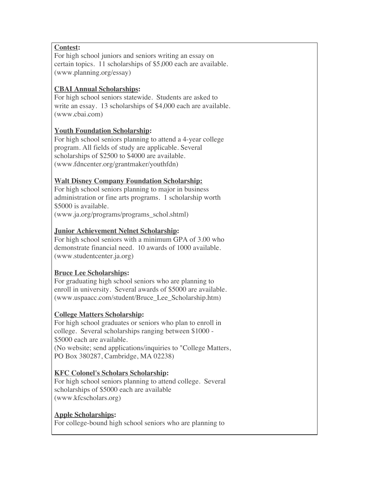## **Contest:**

For high school juniors and seniors writing an essay on certain topics. 11 scholarships of \$5,000 each are available. (www.planning.org/essay)

# **CBAI Annual Scholarships:**

For high school seniors statewide. Students are asked to write an essay. 13 scholarships of \$4,000 each are available. (www.cbai.com)

# **Youth Foundation Scholarship:**

For high school seniors planning to attend a 4-year college program. All fields of study are applicable. Several scholarships of \$2500 to \$4000 are available. (www.fdncenter.org/grantmaker/youthfdn)

# **Walt Disney Company Foundation Scholarship:**

For high school seniors planning to major in business administration or fine arts programs. 1 scholarship worth \$5000 is available.

(www.ja.org/programs/programs\_schol.shtml)

## **Junior Achievement Nelnet Scholarship:**

For high school seniors with a minimum GPA of 3.00 who demonstrate financial need. 10 awards of 1000 available. (www.studentcenter.ja.org)

## **Bruce Lee Scholarships:**

For graduating high school seniors who are planning to enroll in university. Several awards of \$5000 are available. (www.uspaacc.com/student/Bruce\_Lee\_Scholarship.htm)

## **College Matters Scholarship:**

For high school graduates or seniors who plan to enroll in college. Several scholarships ranging between \$1000 - \$5000 each are available. (No website; send applications/inquiries to "College Matters, PO Box 380287, Cambridge, MA 02238)

## **KFC Colonel's Scholars Scholarship:**

For high school seniors planning to attend college. Several scholarships of \$5000 each are available (www.kfcscholars.org)

## **Apple Scholarships:**

For college-bound high school seniors who are planning to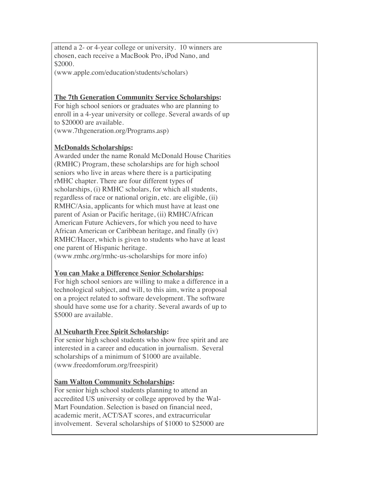attend a 2- or 4-year college or university. 10 winners are chosen, each receive a MacBook Pro, iPod Nano, and \$2000.

(www.apple.com/education/students/scholars)

## **The 7th Generation Community Service Scholarships:**

For high school seniors or graduates who are planning to enroll in a 4-year university or college. Several awards of up to \$20000 are available. (www.7thgeneration.org/Programs.asp)

## **McDonalds Scholarships:**

Awarded under the name Ronald McDonald House Charities (RMHC) Program, these scholarships are for high school seniors who live in areas where there is a participating rMHC chapter. There are four different types of scholarships, (i) RMHC scholars, for which all students, regardless of race or national origin, etc. are eligible, (ii) RMHC/Asia, applicants for which must have at least one parent of Asian or Pacific heritage, (ii) RMHC/African American Future Achievers, for which you need to have African American or Caribbean heritage, and finally (iv) RMHC/Hacer, which is given to students who have at least one parent of Hispanic heritage.

(www.rmhc.org/rmhc-us-scholarships for more info)

## **You can Make a Difference Senior Scholarships:**

For high school seniors are willing to make a difference in a technological subject, and will, to this aim, write a proposal on a project related to software development. The software should have some use for a charity. Several awards of up to \$5000 are available.

# **Al Neuharth Free Spirit Scholarship:**

For senior high school students who show free spirit and are interested in a career and education in journalism. Several scholarships of a minimum of \$1000 are available. (www.freedomforum.org/freespirit)

## **Sam Walton Community Scholarships:**

For senior high school students planning to attend an accredited US university or college approved by the Wal-Mart Foundation. Selection is based on financial need, academic merit, ACT/SAT scores, and extracurricular involvement. Several scholarships of \$1000 to \$25000 are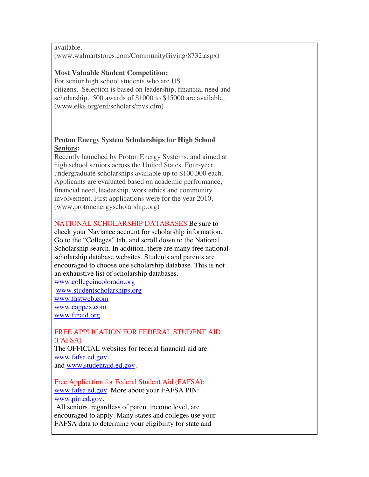available. (www.walmartstores.com/CommunityGiving/8732.aspx)

#### **Most Valuable Student Competition:**

For senior high school students who are US citizens. Selection is based on leadership, financial need and scholarship. 500 awards of \$1000 to \$15000 are available. (www.elks.org/enf/scholars/mvs.cfm)

## **Proton Energy System Scholarships for High School Seniors:**

Recently launched by Proton Energy Systems, and aimed at high school seniors across the United States. Four-year undergraduate scholarships available up to \$100,000 each. Applicants are evaluated based on academic performance, financial need, leadership, work ethics and community involvement. First applications were for the year 2010. (www.protonenergyscholarship.org)

#### NATIONAL SCHOLARSHIP DATABASES Be sure to

check your Naviance account for scholarship information. Go to the "Colleges" tab, and scroll down to the National Scholarship search. In addition, there are many free national scholarship database websites. Students and parents are encouraged to choose one scholarship database. This is not an exhaustive list of scholarship databases.

www.collegeincolorado.org www.studentscholarships.org www.fastweb.com www.cappex.com www.finaid.org

## FREE APPLICATION FOR FEDERAL STUDENT AID (FAFSA) The OFFICIAL websites for federal financial aid are:

www.fafsa.ed.gov and www.studentaid.ed.gov.

Free Application for Federal Student Aid (FAFSA): www.fafsa.ed.gov More about your FAFSA PIN: www.pin.ed.gov.

 All seniors, regardless of parent income level, are encouraged to apply. Many states and colleges use your FAFSA data to determine your eligibility for state and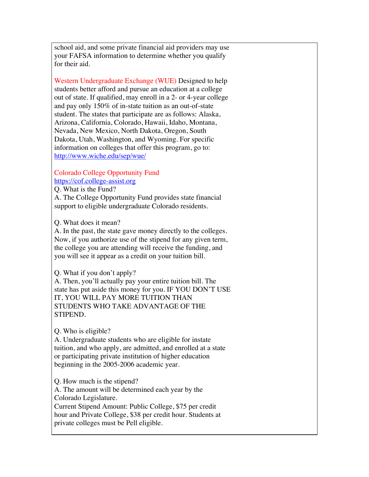school aid, and some private financial aid providers may use your FAFSA information to determine whether you qualify for their aid.

Western Undergraduate Exchange (WUE) Designed to help students better afford and pursue an education at a college out of state. If qualified, may enroll in a 2- or 4-year college and pay only 150% of in-state tuition as an out-of-state student. The states that participate are as follows: Alaska, Arizona, California, Colorado, Hawaii, Idaho, Montana, Nevada, New Mexico, North Dakota, Oregon, South Dakota, Utah, Washington, and Wyoming. For specific information on colleges that offer this program, go to: http://www.wiche.edu/sep/wue/

# Colorado College Opportunity Fund https://cof.college-assist.org

Q. What is the Fund?

A. The College Opportunity Fund provides state financial support to eligible undergraduate Colorado residents.

Q. What does it mean?

A. In the past, the state gave money directly to the colleges. Now, if you authorize use of the stipend for any given term, the college you are attending will receive the funding, and you will see it appear as a credit on your tuition bill.

Q. What if you don't apply?

A. Then, you'll actually pay your entire tuition bill. The state has put aside this money for you. IF YOU DON'T USE IT, YOU WILL PAY MORE TUITION THAN STUDENTS WHO TAKE ADVANTAGE OF THE STIPEND.

Q. Who is eligible?

A. Undergraduate students who are eligible for instate tuition, and who apply, are admitted, and enrolled at a state or participating private institution of higher education beginning in the 2005-2006 academic year.

Q. How much is the stipend?

A. The amount will be determined each year by the Colorado Legislature.

Current Stipend Amount: Public College, \$75 per credit hour and Private College, \$38 per credit hour. Students at private colleges must be Pell eligible.